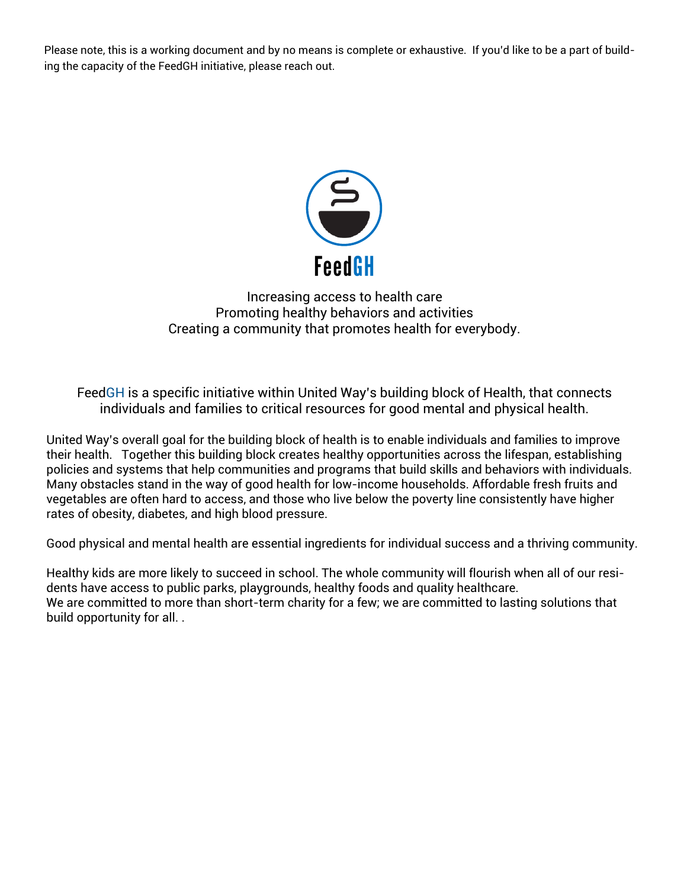Please note, this is a working document and by no means is complete or exhaustive. If you'd like to be a part of building the capacity of the FeedGH initiative, please reach out.



Increasing access to health care Promoting healthy behaviors and activities Creating a community that promotes health for everybody.

FeedGH is a specific initiative within United Way's building block of Health, that connects individuals and families to critical resources for good mental and physical health.

United Way's overall goal for the building block of health is to enable individuals and families to improve their health. Together this building block creates healthy opportunities across the lifespan, establishing policies and systems that help communities and programs that build skills and behaviors with individuals. Many obstacles stand in the way of [good health](http://www.unitedwaynyc.org/i/uwnyc_v2/what_we_do/Assurant_AdvocateNYC_Poster_03.jpg) for low-income households. Affordable fresh fruits and vegetables are often hard to access, and those who live below the poverty line consistently have higher rates of obesity, diabetes, and high blood pressure.

Good physical and mental health are essential ingredients for individual success and a thriving community.

Healthy kids are more likely to succeed in school. The whole community will flourish when all of our residents have access to public parks, playgrounds, healthy foods and quality healthcare. We are committed to more than short-term charity for a few; we are committed to lasting solutions that build opportunity for all. .